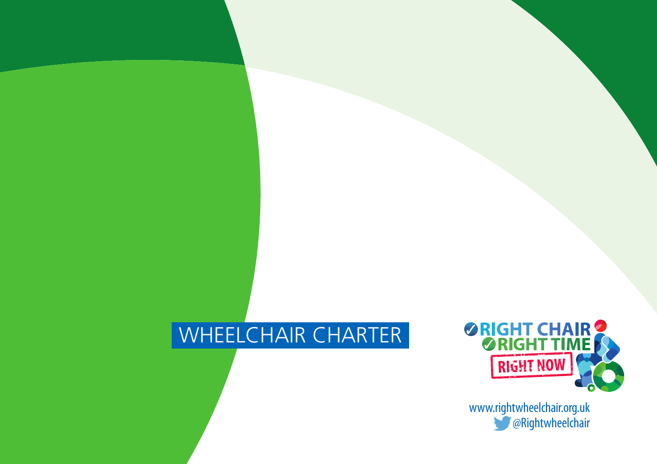# WHEELCHAIR CHARTER



www.rightwheelchair.org.uk **@Rightwheelchair**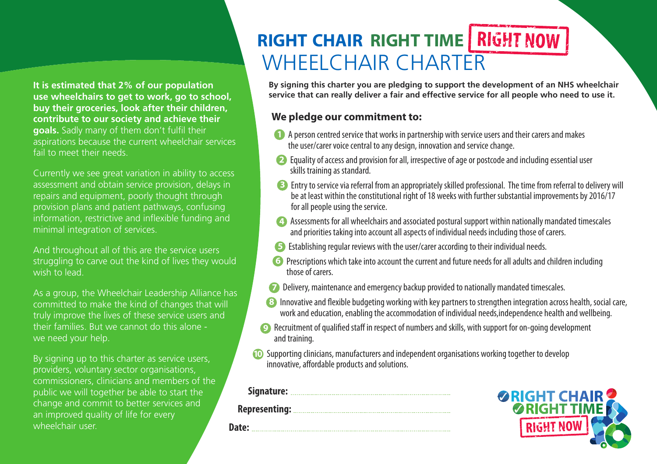**It is estimated that 2% of our population use wheelchairs to get to work, go to school, buy their groceries, look after their children, contribute to our society and achieve their goals.** Sadly many of them don't fulfil their aspirations because the current wheelchair services fail to meet their needs.

Currently we see great variation in ability to access assessment and obtain service provision, delays in repairs and equipment, poorly thought through provision plans and patient pathways, confusing information, restrictive and inflexible funding and minimal integration of services.

And throughout all of this are the service users struggling to carve out the kind of lives they would wish to lead.

As a group, the Wheelchair Leadership Alliance has committed to make the kind of changes that will truly improve the lives of these service users and their families. But we cannot do this alone we need your help.

By signing up to this charter as service users, providers, voluntary sector organisations, commissioners, clinicians and members of the public we will together be able to start the change and commit to better services and an improved quality of life for every wheelchair user.

# **RIGHT CHAIR RIGHT TIME** WHEEL CHAIR CHARTER

**By signing this charter you are pledging to support the development of an NHS wheelchair service that can really deliver a fair and effective service for all people who need to use it.**

### **We pledge our commitment to:**

- **1** A person centred service that works in partnership with service users and their carers and makes the user/carer voice central to any design, innovation and service change.
- 2 Equality of access and provision for all, irrespective of age or postcode and including essential user skills training as standard.
- **3** Entry to service via referral from an appropriately skilled professional. The time from referral to delivery will be at least within the constitutional right of 18 weeks with further substantial improvements by 2016/17 for all people using the service.
- 4) Assessments for all wheelchairs and associated postural support within nationally mandated timescales and priorities taking into account all aspects of individual needs including those of carers.
- **5** Establishing regular reviews with the user/carer according to their individual needs.
- **6** Prescriptions which take into account the current and future needs for all adults and children including those of carers.
- **7** Delivery, maintenance and emergency backup provided to nationally mandated timescales.
- 8 Innovative and flexible budgeting working with key partners to strengthen integration across health, social care, work and education, enabling the accommodation of individual needs, independence health and wellbeing.
- **9** Recruitment of qualified staff in respect of numbers and skills, with support for on-going development and training.
- **10** Supporting clinicians, manufacturers and independent organisations working together to develop innovative, affordable products and solutions.

#### **Signature:**

**Representing:**

**Date:**

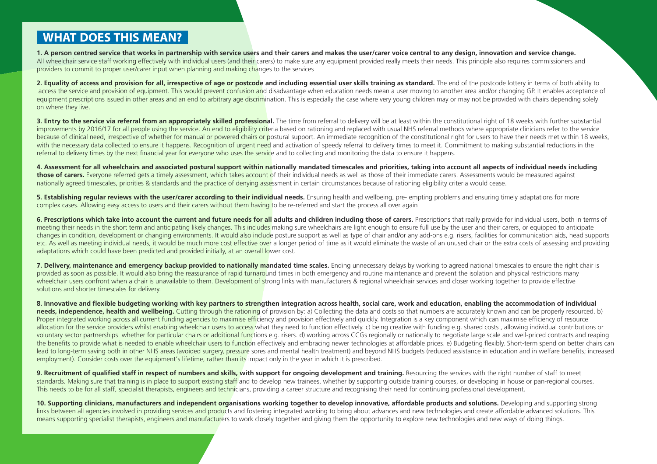### **WHAT DOES THIS MEAN?**

1. A person centred service that works in partnership with service users and their carers and makes the user/carer voice central to any design, innovation and service change. All wheelchair service staff working effectively with individual users (and their carers) to make sure any equipment provided really meets their needs. This principle also requires commissioners and providers to commit to proper user/carer input when planning and making changes to the services

2. Equality of access and provision for all, irrespective of age or postcode and including essential user skills training as standard. The end of the postcode lottery in terms of both ability to access the service and provision of equipment. This would prevent confusion and disadvantage when education needs mean a user moving to another area and/or changing GP. It enables acceptance of equipment prescriptions issued in other areas and an end to arbitrary age discrimination. This is especially the case where very young children may or may not be provided with chairs depending solely on where they live.

3. Entry to the service via referral from an appropriately skilled professional. The time from referral to delivery will be at least within the constitutional right of 18 weeks with further substantial improvements by 2016/17 for all people using the service. An end to eligibility criteria based on rationing and replaced with usual NHS referral methods where appropriate clinicians refer to the service because of clinical need, irrespective of whether for manual or powered chairs or postural support. An immediate recognition of the constitutional right for users to have their needs met within 18 weeks. with the necessary data collected to ensure it happens. Recognition of urgent need and activation of speedy referral to delivery times to meet it. Commitment to making substantial reductions in the referral to delivery times by the next financial year for everyone who uses the service and to collecting and monitoring the data to ensure it happens.

4. Assessment for all wheelchairs and associated postural support within nationally mandated timescales and priorities, taking into account all aspects of individual needs including **those of carers.** Everyone referred gets a timely assessment, which takes account of their individual needs as well as those of their immediate carers. Assessments would be measured against nationally agreed timescales, priorities & standards and the practice of denying assessment in certain circumstances because of rationing eligibility criteria would cease.

5. Establishing regular reviews with the user/carer according to their individual needs. Ensuring health and wellbeing, pre-empting problems and ensuring timely adaptations for more complex cases. Allowing easy access to users and their carers without them having to be re-referred and start the process all over again

6. Prescriptions which take into account the current and future needs for all adults and children including those of carers. Prescriptions that really provide for individual users, both in terms of meeting their needs in the short term and anticipating likely changes. This includes making sure wheelchairs are light enough to ensure full use by the user and their carers, or equipped to anticipate changes in condition, development or changing environments. It would also include posture support as well as type of chair and/or any add-ons e.g. risers, facilities for communication aids, head supports etc. As well as meeting individual needs, it would be much more cost effective over a longer period of time as it would eliminate the waste of an unused chair or the extra costs of assessing and providing adaptations which could have been predicted and provided initially, at an overall lower cost.

7. Delivery, maintenance and emergency backup provided to nationally mandated time scales. Ending unnecessary delays by working to agreed national timescales to ensure the right chair is provided as soon as possible. It would also bring the reassurance of rapid turnaround times in both emergency and routine maintenance and prevent the isolation and physical restrictions many wheelchair users confront when a chair is unavailable to them. Development of strong links with manufacturers & regional wheelchair services and closer working together to provide effective solutions and shorter timescales for delivery.

8. Innovative and flexible budgeting working with key partners to strengthen integration across health, social care, work and education, enabling the accommodation of individual needs, independence, health and wellbeing. Cutting through the rationing of provision by: a) Collecting the data and costs so that numbers are accurately known and can be properly resourced, b) Proper integrated working across all current funding agencies to maximise efficiency and provision effectively and quickly. Integration is a key component which can maximise efficiency of resource allocation for the service providers whilst enabling wheelchair users to access what they need to function effectively. c) being creative with funding e.g. shared costs, allowing individual contributions or voluntary sector partnerships whether for particular chairs or additional functions e.g. risers. d) working across CCGs regionally or nationally to negotiate large scale and well-priced contracts and reaping the benefits to provide what is needed to enable wheelchair users to function effectively and embracing newer technologies at affordable prices. e) Budgeting flexibly. Short-term spend on better chairs can lead to long-term saving both in other NHS areas (avoided surgery, pressure sores and mental health treatment) and beyond NHS budgets (reduced assistance in education and in welfare benefits; increased employment). Consider costs over the equipment's lifetime, rather than its impact only in the year in which it is prescribed.

9. Recruitment of qualified staff in respect of numbers and skills, with support for ongoing development and training. Resourcing the services with the right number of staff to meet standards. Making sure that training is in place to support existing staff and to develop new trainees, whether by supporting outside training courses, or developing in house or pan-regional courses. This needs to be for all staff, specialist therapists, engineers and technicians, providing a career structure and recognising their need for continuing professional development.

10. Supporting clinicians, manufacturers and independent organisations working together to develop innovative, affordable products and solutions. Developing and supporting strong links between all agencies involved in providing services and products and fostering integrated working to bring about advances and new technologies and create affordable advanced solutions. This means supporting specialist therapists, engineers and manufacturers to work closely together and giving them the opportunity to explore new technologies and new ways of doing things.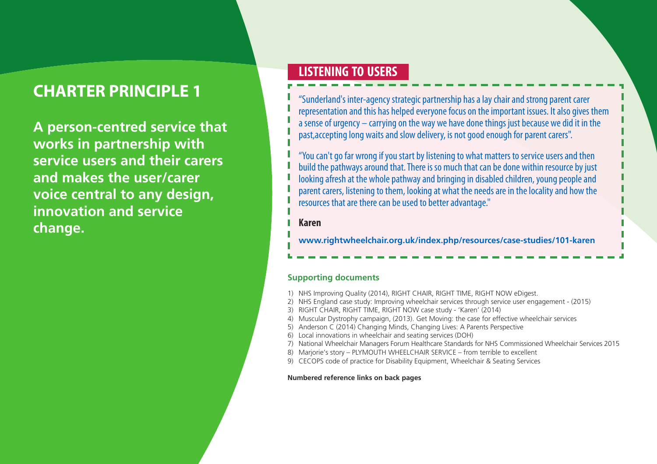**A person-centred service that works in partnership with service users and their carers and makes the user/carer voice central to any design, innovation and service change.**

### **LISTENING TO USERS**

"Sunderland's inter-agencystrategicpartnership hasalaychairandstrongparent carer representation and this has helped everyone focus on the important issues. It also gives them a sense of urgency  $-$  carrying on the way we have done things just because we did it in the past, accepting long waits and slow delivery, is not good enough for parent carers".

"You can't go far wrong if you start by listening to what matters to service users and then build the pathways around that. There is so much that can be done within resource by just looking afresh at the whole pathway and bringing in disabled children, young people and parent carers, listening to them, looking at what the needs are in the locality and how the resources that are there can be used to better advantage."

#### **Karen**

**www.rightwheelchair.org.uk/index.php/resources/case-studies/101-karen**

#### **Supporting documents**

- 1) NHS Improving Quality (2014), RIGHT CHAIR, RIGHT TIME, RIGHT NOW eDigest.
- 2) NHS England case study: Improving wheelchair services through service user engagement (2015)
- 3) RIGHT CHAIR, RIGHT TIME, RIGHT NOW case study 'Karen' (2014)
- 4) Muscular Dystrophy campaign, (2013). Get Moving: the case for effective wheelchair services
- 5) Anderson C (2014) Changing Minds, Changing Lives: A Parents Perspective
- 6) Local innovations in wheelchair and seating services (DOH)
- 7) National Wheelchair Managers Forum Healthcare Standards for NHS Commissioned Wheelchair Services 2015
- 8) Mariorie's story PLYMOUTH WHEELCHAIR SERVICE from terrible to excellent
- 9) CECOPS code of practice for Disability Equipment, Wheelchair & Seating Services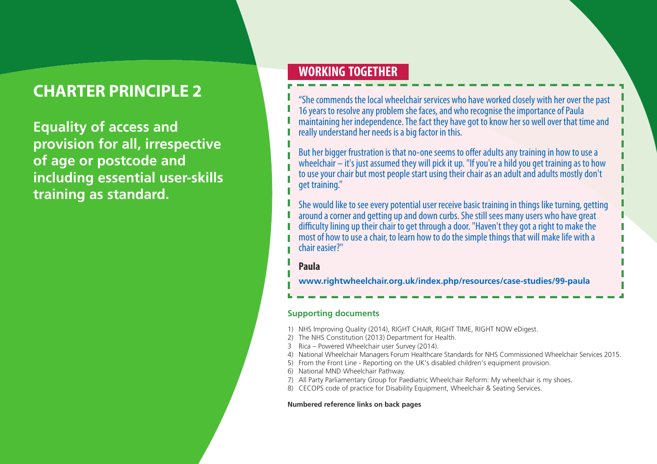**Equality of access and provision for all, irrespective of age or postcode and including essential user-skills training as standard.**

### **WORKING TOGETHER**

"She commends the local wheelchair services who have worked closely with her over the past 16 years to resolve any problem she faces, and who recognise the importance of Paula maintaining her independence. The fact they have got to know her so well over that time and really understand her needs is a big factor in this.

But her bigger frustration is that no-one seems to offer adults any training in how to use a wheelchair  $-$  it's just assumed they will pick it up. "If you're a hild you get training as to how to use your chair but most people start using their chair as an adult and adults mostly don't get training."

She would like to see every potential user receive basic training in things like turning, getting around a corner and getting up and down curbs. She still sees many users who have great difficulty lining up their chair to get through a door. "Haven't they got a right to make the most of how to use a chair, to learn how to do the simple things that will make life with a chair easier?"

#### **Paula**

**www.rightwheelchair.org.uk/index.php/resources/case-studies/99-paula**

#### **Supporting documents**

- 1) NHS Improving Quality (2014), RIGHT CHAIR, RIGHT TIME, RIGHT NOW eDigest.
- 2) The NHS Constitution (2013) Department for Health.
- 3 Rica Powered Wheelchair user Survey (2014).
- 4) National Wheelchair Managers Forum Healthcare Standards for NHS Commissioned Wheelchair Services 2015.
- 5) From the Front Line Reporting on the UK's disabled children's equipment provision.
- 6) National MND Wheelchair Pathway.
- 7) All Party Parliamentary Group for Paediatric Wheelchair Reform: My wheelchair is my shoes.
- 8) CECOPS code of practice for Disability Equipment, Wheelchair & Seating Services.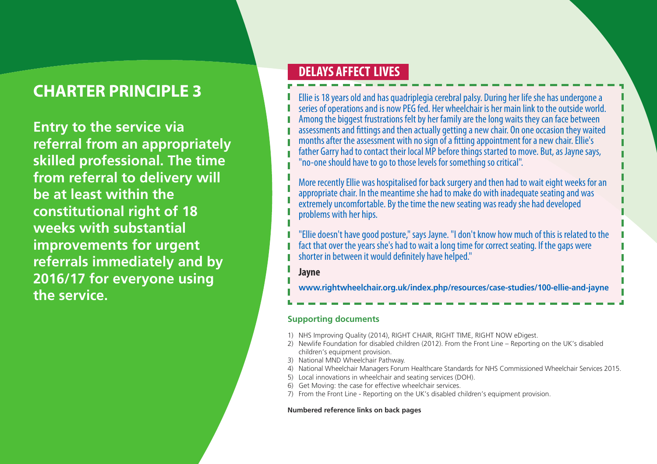**Entry to the service via referral from an appropriately skilled professional. The time from referral to delivery will be at least within the constitutional right of 18 weeks with substantial improvements for urgent referrals immediately and by 2016/17 for everyone using the service. www.rightwheelchair.org.uk/index.php/resources/case-studies/100-ellie-and-jayne**

### **DELAYS AFFECT LIVES**

Ellie is 18 years old and has quadriplegia cerebral palsy. During her life she has undergone a series of operations and is now PEG fed. Her wheelchair is her main link to the outside world. Among the biggest frustrations felt by her family are the long waits they can face between assessments and fittings and then actually getting a new chair. On one occasion they waited months after the assessment with no sign of a fitting appointment for a new chair. Ellie's father Garry had to contact their local MP before things started to move. But, as Jayne says, "no-one should have to go to those levels for something so critical".

More recently Ellie was hospitalised for back surgery and then had to wait eight weeks for an appropriate chair. In the meantime she had to make do with inadequate seating and was extremely uncomfortable. By the time the new seating was ready she had developed problems with her hips.

"Ellie doesn't have good posture," says Jayne. "I don't know how much of this is related to the fact that over the years she's had to wait a long time for correct seating. If the gaps were shorter in between it would definitely have helped."

#### **Jayne**

#### **Supporting documents**

- 1) NHS Improving Quality (2014), RIGHT CHAIR, RIGHT TIME, RIGHT NOW eDigest.
- 2) Newlife Foundation for disabled children (2012). From the Front Line Reporting on the UK's disabled children's equipment provision.
- 3) National MND Wheelchair Pathway.
- 4) National Wheelchair Managers Forum Healthcare Standards for NHS Commissioned Wheelchair Services 2015.
- 5) Local innovations in wheelchair and seating services (DOH).
- 6) Get Moving: the case for effective wheelchair services.
- 7) From the Front Line Reporting on the UK's disabled children's equipment provision.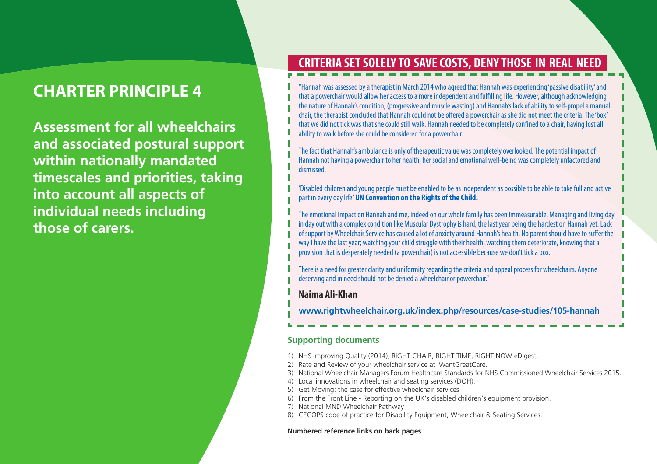**Assessment for all wheelchairs and associated postural support within nationally mandated timescales and priorities, taking into account all aspects of individual needs including those of carers.**

### **CRITERIA SETSOLELY TO SAVECOSTS, DENY THOSE IN REAL NEED**

"Hannah was assessed by a therapist in March 2014 who agreed that Hannah was experiencing 'passive disability' and that a powerchair would allow her access to a more independent and fulfilling life. However, although acknowledging the nature of Hannah's condition, (progressive and muscle wasting) and Hannah's lack of ability to self-propel a manual chair, the therapist concluded that Hannah could not be offered a powerchair as she did not meet the criteria. The 'box' that we did not tick was that she could still walk. Hannah needed to be completely confined to a chair, having lost all ability to walk before she could be considered for a powerchair.

The fact that Hannah's ambulance is only of therapeutic value was completely overlooked. The potential impact of Hannah not having a powerchair to her health, her social and emotional well-being was completely unfactored and dismissed.

'Disabled children and young people must be enabled to be as independent as possible to be able to take full and active part in everydaylife.'**UN Convention on the Rights of the Child.**

The emotional impact on Hannah and me, indeed on our whole family has been immeasurable. Managing and living day in day out with a complex condition like Muscular Dystrophy is hard, the last year being the hardest on Hannah yet. Lack of support by Wheelchair Service has caused a lot of anxiety around Hannah's health. No parent should have to suffer the way I have the last year; watching your child struggle with their health, watching them deteriorate, knowing that a provision that is desperately needed (a powerchair) is not accessible because we don't tick a box.

There is a need for greater clarity and uniformity regarding the criteria and appeal process for wheelchairs. Anyone deserving and in need should not be denied a wheelchair or powerchair."

#### **Naima Ali-Khan**

**www.rightwheelchair.org.uk/index.php/resources/case-studies/105-hannah**

#### **Supporting documents**

- 1) NHS Improving Quality (2014), RIGHT CHAIR, RIGHT TIME, RIGHT NOW eDigest.
- 2) Rate and Review of your wheelchair service at IWantGreatCare.
- 3) National Wheelchair Managers Forum Healthcare Standards for NHS Commissioned Wheelchair Services 2015.
- 4) Local innovations in wheelchair and seating services (DOH).
- 5) Get Moving: the case for effective wheelchair services
- 6) From the Front Line Reporting on the UK's disabled children's equipment provision.
- 7) National MND Wheelchair Pathway
- 8) CECOPS code of practice for Disability Equipment, Wheelchair & Seating Services.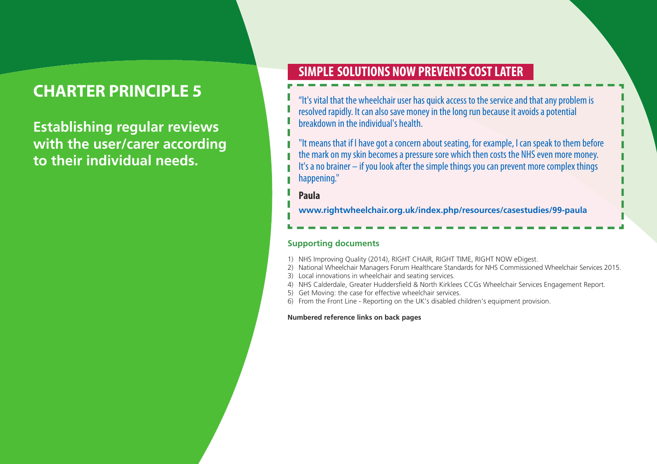**Establishing regular reviews with the user/carer according to their individual needs.**

### **SIMPLE SOLUTIONS NOWPREVENTSCOSTLATER**

"It's vital that the wheelchair user has quick access to the service and that any problem is resolved rapidly. It can also save money in the long run because it avoids a potential breakdown in the individual's health.

"It means that if I have got a concern about seating, for example, I can speak to them before the mark on my skin becomes a pressure sore which then costs the NHS even more money. It's a no brainer – if you look after the simple things you can prevent more complex things happening."

#### **Paula**

**www.rightwheelchair.org.uk/index.php/resources/casestudies/99-paula**

#### **Supporting documents**

- 1) NHS Improving Quality (2014), RIGHT CHAIR, RIGHT TIME, RIGHT NOW eDigest.
- 2) National Wheelchair Managers Forum Healthcare Standards for NHS Commissioned Wheelchair Services 2015.
- 3) Local innovations in wheelchair and seating services.
- 4) NHS Calderdale, Greater Huddersfield & North Kirklees CCGs Wheelchair Services Engagement Report.
- 5) Get Moving: the case for effective wheelchair services.
- 6) From the Front Line Reporting on the UK's disabled children's equipment provision.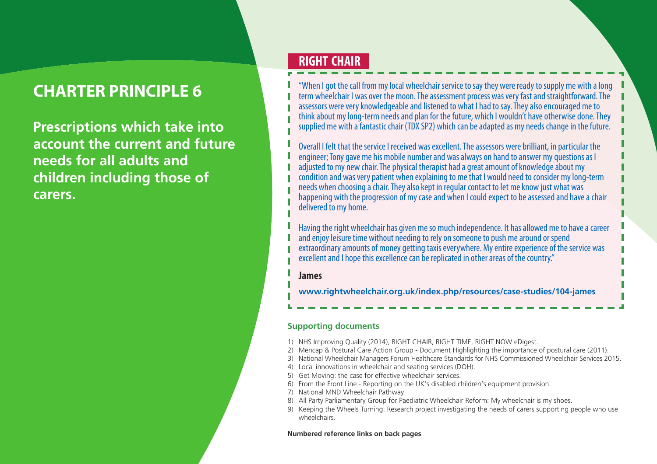**Prescriptions which take into account the current and future needs for all adults and children including those of carers.**

### **RIGHT CHAIR**

"When I got the call from my local wheelchair service to say they were ready to supply me with a long term wheelchair I was over the moon. The assessment process was very fast and straightforward. The assessors were very knowledgeable and listened to what I had to say. They also encouraged me to think about my long-term needs and plan for the future, which I wouldn't have otherwise done. They supplied me with a fantastic chair (TDX SP2) which can be adapted as my needs change in the future.

Overall I felt that the service I received was excellent. The assessors were brilliant, in particular the engineer; Tony gave me his mobile number and was always on hand to answer my questions as I adjusted to my new chair. The physical therapist had a great amount of knowledge about my condition and was very patient when explaining to me that I would need to consider my long-term needs when choosing a chair. They also kept in regular contact to let me know just what was happening with the progression of my case and when I could expect to be assessed and have a chair delivered to my home.

Having the right wheelchair has given me so much independence. It has allowed me to have a career and enjoy leisure time without needing to rely on someone to push me around or spend extraordinary amounts of money getting taxis everywhere. My entire experience of the service was excellent and I hope this excellence can be replicated in other areas of the country."

#### **James**

**www.rightwheelchair.org.uk/index.php/resources/case-studies/104-james**

#### **Supporting documents**

- 1) NHS Improving Quality (2014), RIGHT CHAIR, RIGHT TIME, RIGHT NOW eDigest.
- 2) Mencap & Postural Care Action Group Document Highlighting the importance of postural care (2011).
- 3) National Wheelchair Managers Forum Healthcare Standards for NHS Commissioned Wheelchair Services 2015.
- 4) Local innovations in wheelchair and seating services (DOH).
- 5) Get Moving: the case for effective wheelchair services.
- 6) From the Front Line Reporting on the UK's disabled children's equipment provision.
- 7) National MND Wheelchair Pathway
- 8) All Party Parliamentary Group for Paediatric Wheelchair Reform: My wheelchair is my shoes.
- 9) Keeping the Wheels Turning: Research project investigating the needs of carers supporting people who use wheelchairs.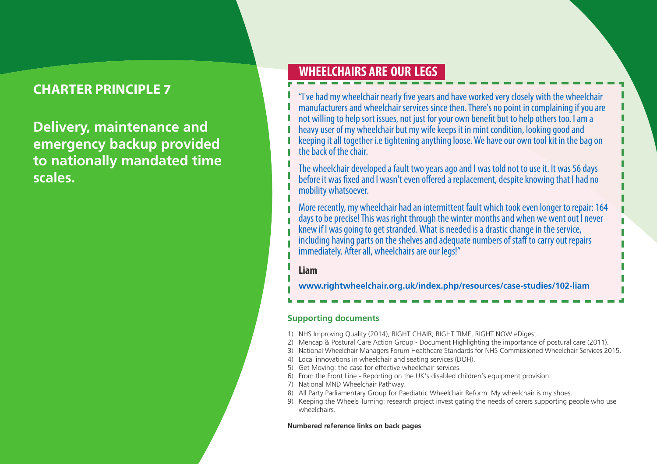**Delivery, maintenance and emergency backup provided to nationally mandated time scales.**

## **WHEELCHAIRS ARE OUR LEGS**

"I've had my wheelchair nearly five years and have worked very closely with the wheelchair manufacturers and wheelchair services since then. There's no point in complaining if you are not willing to help sort issues, not just for your own benefit but to help others too. I am a heavy user of my wheelchair but my wife keeps it in mint condition, looking good and keeping it all together i.e tightening anything loose. We have our own tool kit in the bag on the back of the chair.

The wheelchair developed a fault two years ago and I was told not to use it. It was 56 days before it was fixed and I wasn't even offered a replacement, despite knowing that I had no mobility whatsoever.

More recently, my wheelchair had an intermittent fault which took even longer to repair: 164 days to be precise! This was right through the winter months and when we went out I never<br>knew if I was going to get stranded. What is needed is a drastic change in the service, including having parts on the shelves and adequate numbers of staff to carry out repairs immediately. After all, wheelchairs are our legs!"

#### **Liam**

**www.rightwheelchair.org.uk/index.php/resources/case-studies/102-liam**

#### **Supporting documents**

- 1) NHS Improving Quality (2014), RIGHT CHAIR, RIGHT TIME, RIGHT NOW eDigest.
- 2) Mencap & Postural Care Action Group Document Highlighting the importance of postural care (2011).
- 3) National Wheelchair Managers Forum Healthcare Standards for NHS Commissioned Wheelchair Services 2015.
- 4) Local innovations in wheelchair and seating services (DOH).
- 5) Get Moving: the case for effective wheelchair services.
- 6) From the Front Line Reporting on the UK's disabled children's equipment provision.
- 7) National MND Wheelchair Pathway.
- 8) All Party Parliamentary Group for Paediatric Wheelchair Reform: My wheelchair is my shoes.
- 9) Keeping the Wheels Turning: research project investigating the needs of carers supporting people who use wheelchairs.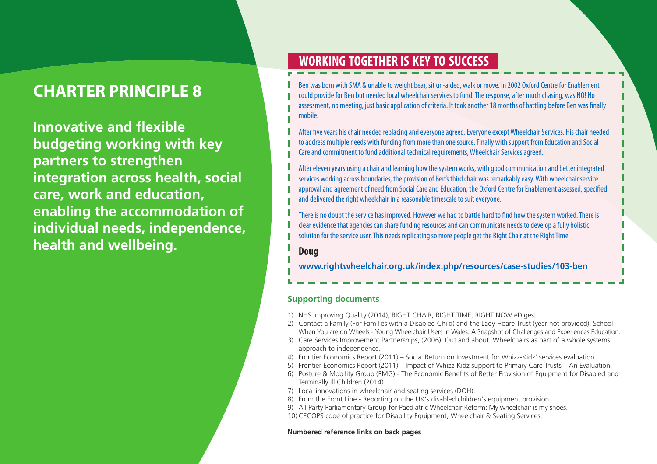**Innovative and flexible budgeting working with key partners to strengthen integration across health, social care, work and education, enabling the accommodation of individual needs, independence, health and wellbeing.**

## **WORKING TOGETHER IS KEY TO SUCCESS**

Ben was born with SMA & unable to weight bear, sit un-aided, walk or move. In 2002 Oxford Centre for Enablement could provide for Ben but needed local wheelchair services to fund. The response, after much chasing, was NO! No assessment, no meeting, just basic application of criteria. It took another 18 months of battling before Ben was finally mobile.

After five years his chair needed replacing and everyone agreed. Everyone except Wheelchair Services. His chair needed to address multiple needs with funding from more than one source. Finally with support from Education and Social Care and commitment to fund additional technical requirements, Wheelchair Services agreed.

After eleven years using a chair and learning how the system works, with good communication and better integrated services working across boundaries, the provision of Ben's third chair was remarkably easy. With wheelchair service approval and agreement of need from Social Care and Education, the Oxford Centre for Enablement assessed, specified and delivered the right wheelchair in a reasonable timescale to suit everyone.

There is no doubt the service has improved. However we had to battle hard to find how the system worked. There is clear evidence that agencies can share funding resources and can communicate needs to develop a fully holistic solution for the service user. This needs replicating so more people get the Right Chair at the Right Time.

#### **Doug**

**www.rightwheelchair.org.uk/index.php/resources/case-studies/103-ben**

#### **Supporting documents**

- 1) NHS Improving Quality (2014), RIGHT CHAIR, RIGHT TIME, RIGHT NOW eDigest.
- 2) Contact a Family (For Families with a Disabled Child) and the Lady Hoare Trust (year not provided). School When You are on Wheels - Young Wheelchair Users in Wales: A Snapshot of Challenges and Experiences Education.
- 3) Care Services Improvement Partnerships, (2006). Out and about. Wheelchairs as part of a whole systems approach to independence.
- 4) Frontier Economics Report (2011) Social Return on Investment for Whizz-Kidz' services evaluation.
- 5) Frontier Economics Report (2011) Impact of Whizz-Kidz support to Primary Care Trusts An Evaluation.
- 6) Posture & Mobility Group (PMG) The Economic Benefits of Better Provision of Equipment for Disabled and Terminally Ill Children (2014).
- 7) Local innovations in wheelchair and seating services (DOH).
- 8) From the Front Line Reporting on the UK's disabled children's equipment provision.
- 9) All Party Parliamentary Group for Paediatric Wheelchair Reform: My wheelchair is my shoes.
- 10) CECOPS code of practice for Disability Equipment, Wheelchair & Seating Services.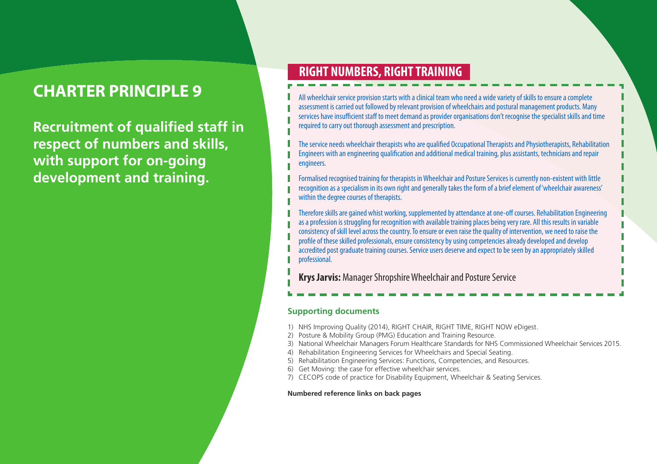**Recruitment of qualified staff in respect of numbers and skills, with support for on-going development and training.**

## **RIGHT NUMBERS, RIGHTTRAINING**

All wheelchair service provision starts with a clinical team who need a wide variety of skills to ensure a complete assessment is carried out followed by relevant provision of wheelchairs and postural management products. Many services have insufficient staff to meet demand as provider organisations don't recognise the specialist skills and time required to carry out thorough assessment and prescription.

The service needs wheelchair therapists who are qualified Occupational Therapists and Physiotherapists, Rehabilitation Engineers with an engineering qualification and additional medical training, plus assistants, technicians and repair engineers.

Formalised recognised training for therapists in Wheelchair and Posture Services is currently non-existent with little recognition as a specialism in its own right and generally takes the form of a brief element of 'wheelchair awareness' within the degree courses of therapists.

Therefore skills are gained whist working, supplemented by attendance at one-off courses. Rehabilitation Engineering as a profession is struggling for recognition with available training places being very rare. All this results in variable consistency of skill level across the country. To ensure or even raise the quality of intervention, we need to raise the profile of these skilled professionals, ensure consistency by using competencies already developed and develop accredited post graduate training courses. Service users deserve and expect to be seen by an appropriately skilled professional.

**Krys Jarvis:** Manager Shropshire Wheelchair and Posture Service

#### **Supporting documents**

- 1) NHS Improving Quality (2014), RIGHT CHAIR, RIGHT TIME, RIGHT NOW eDigest.
- 2) Posture & Mobility Group (PMG) Education and Training Resource.
- 3) National Wheelchair Managers Forum Healthcare Standards for NHS Commissioned Wheelchair Services 2015.
- 4) Rehabilitation Engineering Services for Wheelchairs and Special Seating.
- 5) Rehabilitation Engineering Services: Functions, Competencies, and Resources.
- 6) Get Moving: the case for effective wheelchair services.
- 7) CECOPS code of practice for Disability Equipment, Wheelchair & Seating Services.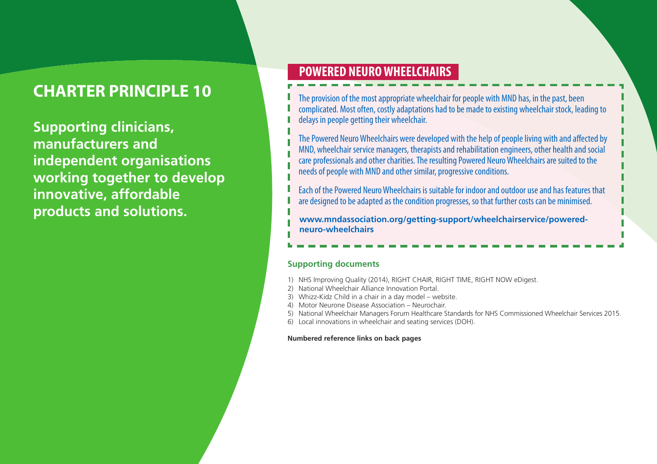**Supporting clinicians, manufacturers and independent organisations working together to develop innovative, affordable products and solutions.**

## **POWERED NEUROWHEELCHAIRS**

The provision of the most appropriate wheelchair for people with MND has, in the past, been complicated. Most often, costly adaptations had to be made to existing wheelchair stock, leading to delays in people getting their wheelchair.

The Powered Neuro Wheelchairs were developed with the help of people living with and affected by MND, wheelchair service managers, therapists and rehabilitation engineers, other health and social care professionals and other charities. The resulting Powered Neuro Wheelchairs are suited to the needs of people with MND and other similar, progressive conditions.

Each of thePowered NeuroWheelchairs is suitablefor indoorandoutdooruseand has features that are designed to be adapted as the condition progresses, so that further costs can be minimised.

**www.mndassociation.org/getting-support/wheelchairservice/poweredneuro-wheelchairs**

#### **Supporting documents**

- 1) NHS Improving Quality (2014), RIGHT CHAIR, RIGHT TIME, RIGHT NOW eDigest.
- 2) National Wheelchair Alliance Innovation Portal.
- 3) Whizz-Kidz Child in a chair in a day model website.
- 4) Motor Neurone Disease Association Neurochair.
- 5) National Wheelchair Managers Forum Healthcare Standards for NHS Commissioned Wheelchair Services 2015.
- 6) Local innovations in wheelchair and seating services (DOH).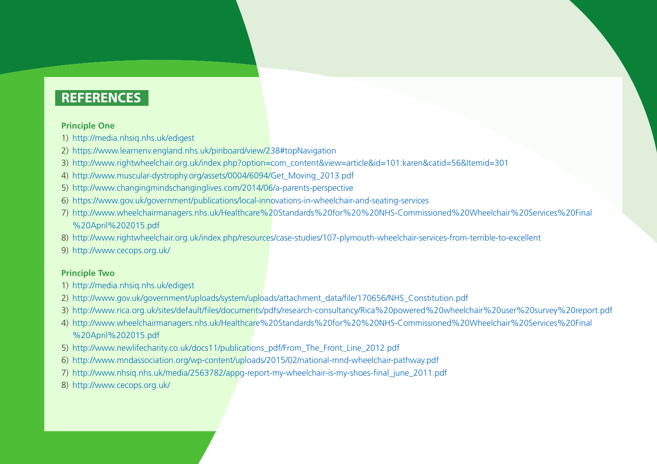#### **Principle One**

- 1) http://media.nhsiq.nhs.uk/edigest
- 2) https://www.learnenv.england.nhs.uk/pinboard/view/238#topNavigation
- 3) http://www.rightwheelchair.org.uk/index.php?option=com\_content&view=article&id=101:karen&catid=56&Itemid=301
- 4) http://www.muscular-dystrophy.org/assets/0004/6094/Get\_Moving\_2013.pdf
- 5) http://www.changingmindschanginglives.com/2014/06/a-parents-perspective
- 6) https://www.gov.uk/government/publications/local-innovations-in-wheelchair-and-seating-services
- 7) http://www.wheelchairmanagers.nhs.uk/Healthcare%20Standards%20for%20%20NHS-Commissioned%20Wheelchair%20Services%20Final %20April%202015.pdf
- 8) http://www.rightwheelchair.org.uk/index.php/resources/case-studies/107-plymouth-wheelchair-services-from-terrible-to-excellent
- 9) http://www.cecops.org.uk/

#### **Principle Two**

- 1) http://media.nhsiq.nhs.uk/edigest
- 2) http://www.gov.uk/government/uploads/system/uploads/attachment\_data/file/170656/NHS\_Constitution.pdf
- 3) http://www.rica.org.uk/sites/default/files/documents/pdfs/research-consultancy/Rica%20powered%20wheelchair%20user%20survey%20report.pdf
- 4) http://www.wheelchairmanagers.nhs.uk/Healthcare%20Standards%20for%20%20NHS-Commissioned%20Wheelchair%20Services%20Final %20April%202015.pdf
- 5) http://www.newlifecharity.co.uk/docs11/publications\_pdf/From\_The\_Front\_Line\_2012.pdf
- 6) http://www.mndassociation.org/wp-content/uploads/2015/02/national-mnd-wheelchair-pathway.pdf
- 7) http://www.nhsiq.nhs.uk/media/2563782/appg-report-my-wheelchair-is-my-shoes-final\_june\_2011.pdf
- 8) http://www.cecops.org.uk/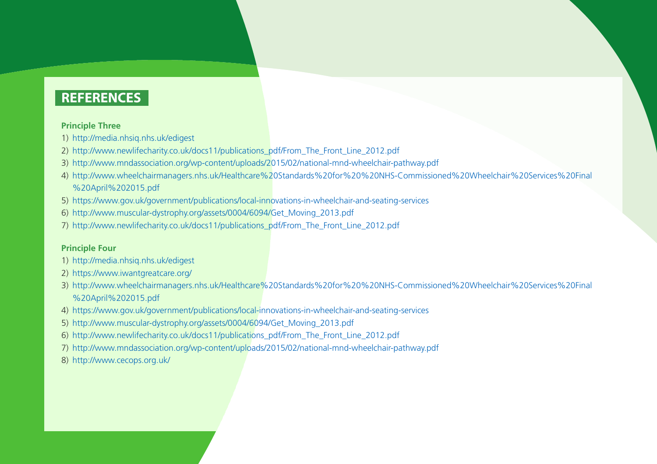#### **Principle Three**

- 1) http://media.nhsiq.nhs.uk/edigest
- 2) http://www.newlifecharity.co.uk/docs11/publications\_pdf/From\_The\_Front\_Line\_2012.pdf
- 3) http://www.mndassociation.org/wp-content/uploads/2015/02/national-mnd-wheelchair-pathway.pdf
- 4) http://www.wheelchairmanagers.nhs.uk/Healthcare%20Standards%20for%20%20NHS-Commissioned%20Wheelchair%20Services%20Final %20April%202015.pdf
- 5) https://www.gov.uk/government/publications/local-innovations-in-wheelchair-and-seating-services
- 6) http://www.muscular-dystrophy.org/assets/0004/6094/Get\_Moving\_2013.pdf
- 7) http://www.newlifecharity.co.uk/docs11/publications\_pdf/From\_The\_Front\_Line\_2012.pdf

#### **Principle Four**

- 1) http://media.nhsiq.nhs.uk/edigest
- 2) https://www.iwantgreatcare.org/
- 3) http://www.wheelchairmanagers.nhs.uk/Healthcare%20Standards%20for%20%20NHS-Commissioned%20Wheelchair%20Services%20Final %20April%202015.pdf
- 4) https://www.gov.uk/government/publications/local-innovations-in-wheelchair-and-seating-services
- 5) http://www.muscular-dystrophy.org/assets/0004/6094/Get\_Moving\_2013.pdf
- 6) http://www.newlifecharity.co.uk/docs11/publications\_pdf/From\_The\_Front\_Line\_2012.pdf
- 7) http://www.mndassociation.org/wp-content/uploads/2015/02/national-mnd-wheelchair-pathway.pdf
- 8) http://www.cecops.org.uk/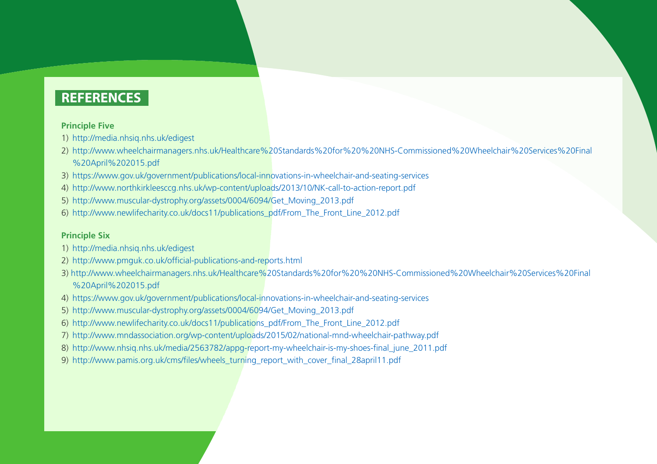#### **Principle Five**

- 1) http://media.nhsiq.nhs.uk/edigest
- 2) http://www.wheelchairmanagers.nhs.uk/Healthcare%20Standards%20for%20%20NHS-Commissioned%20Wheelchair%20Services%20Final %20April%202015.pdf
- 3) https://www.gov.uk/government/publications/local-innovations-in-wheelchair-and-seating-services
- 4) http://www.northkirkleesccg.nhs.uk/wp-content/uploads/2013/10/NK-call-to-action-report.pdf
- 5) http://www.muscular-dystrophy.org/assets/0004/6094/Get\_Moving\_2013.pdf
- 6) http://www.newlifecharity.co.uk/docs11/publications\_pdf/From\_The\_Front\_Line\_2012.pdf

#### **Principle Six**

- 1) http://media.nhsiq.nhs.uk/edigest
- 2) http://www.pmguk.co.uk/official-publications-and-reports.html
- 3) http://www.wheelchairmanagers.nhs.uk/Healthcare%20Standards%20for%20%20NHS-Commissioned%20Wheelchair%20Services%20Final %20April%202015.pdf
- 4) https://www.gov.uk/government/publications/local-innovations-in-wheelchair-and-seating-services
- 5) http://www.muscular-dystrophy.org/assets/0004/6094/Get\_Moving\_2013.pdf
- 6) http://www.newlifecharity.co.uk/docs11/publications\_pdf/From\_The\_Front\_Line\_2012.pdf
- 7) http://www.mndassociation.org/wp-content/uploads/2015/02/national-mnd-wheelchair-pathway.pdf
- 8) http://www.nhsiq.nhs.uk/media/2563782/appg-report-my-wheelchair-is-my-shoes-final\_june\_2011.pdf
- 9) http://www.pamis.org.uk/cms/files/wheels\_turning\_report\_with\_cover\_final\_28april11.pdf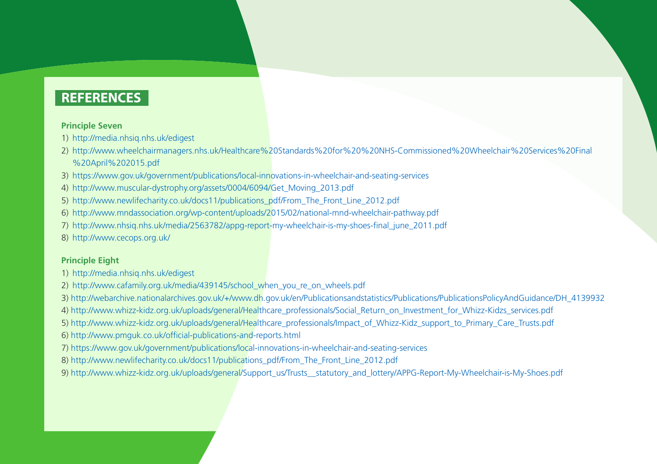#### **Principle Seven**

1) http://media.nhsiq.nhs.uk/edigest

- 2) http://www.wheelchairmanagers.nhs.uk/Healthcare%20Standards%20for%20%20NHS-Commissioned%20Wheelchair%20Services%20Final %20April%202015.pdf
- 3) https://www.gov.uk/government/publications/local-innovations-in-wheelchair-and-seating-services
- 4) http://www.muscular-dystrophy.org/assets/0004/6094/Get\_Moving\_2013.pdf
- 5) http://www.newlifecharity.co.uk/docs11/publications\_pdf/From\_The\_Front\_Line\_2012.pdf
- 6) http://www.mndassociation.org/wp-content/uploads/2015/02/national-mnd-wheelchair-pathway.pdf
- 7) http://www.nhsiq.nhs.uk/media/2563782/appg-report-my-wheelchair-is-my-shoes-final\_june\_2011.pdf
- 8) http://www.cecops.org.uk/

#### **Principle Eight**

- 1) http://media.nhsiq.nhs.uk/edigest
- 2) http://www.cafamily.org.uk/media/439145/school\_when\_you\_re\_on\_wheels.pdf
- 3) http://webarchive.nationalarchives.gov.uk/+/www.dh.gov.uk/en/Publicationsandstatistics/Publications/PublicationsPolicyAndGuidance/DH\_4139932
- 4) http://www.whizz-kidz.org.uk/uploads/general/Healthcare\_professionals/Social\_Return\_on\_Investment\_for\_Whizz-Kidzs\_services.pdf
- 5) http://www.whizz-kidz.org.uk/uploads/general/Healthcare\_professionals/Impact\_of\_Whizz-Kidz\_support\_to\_Primary\_Care\_Trusts.pdf
- 6) http://www.pmguk.co.uk/official-publications-and-reports.html
- 7) https://www.gov.uk/government/publications/local-innovations-in-wheelchair-and-seating-services
- 8) http://www.newlifecharity.co.uk/docs11/publications\_pdf/From\_The\_Front\_Line\_2012.pdf
- 9) http://www.whizz-kidz.org.uk/uploads/general/Support\_us/Trusts\_\_statutory\_and\_lottery/APPG-Report-My-Wheelchair-is-My-Shoes.pdf